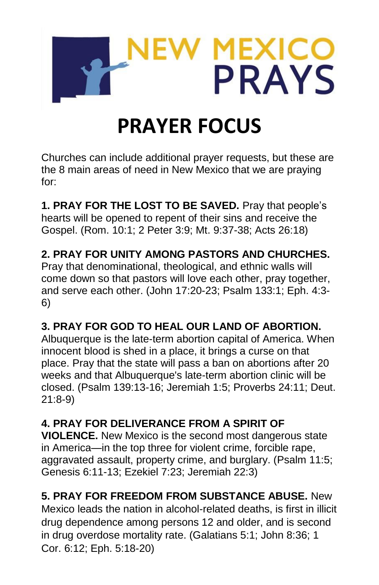

# **PRAYER FOCUS**

Churches can include additional prayer requests, but these are the 8 main areas of need in New Mexico that we are praying for:

**1. PRAY FOR THE LOST TO BE SAVED.** Pray that people's hearts will be opened to repent of their sins and receive the Gospel. (Rom. 10:1; 2 Peter 3:9; Mt. 9:37-38; Acts 26:18)

## **2. PRAY FOR UNITY AMONG PASTORS AND CHURCHES.**

Pray that denominational, theological, and ethnic walls will come down so that pastors will love each other, pray together, and serve each other. (John 17:20-23; Psalm 133:1; Eph. 4:3- 6)

### **3. PRAY FOR GOD TO HEAL OUR LAND OF ABORTION.**

Albuquerque is the late-term abortion capital of America. When innocent blood is shed in a place, it brings a curse on that place. Pray that the state will pass a ban on abortions after 20 weeks and that Albuquerque's late-term abortion clinic will be closed. (Psalm 139:13-16; Jeremiah 1:5; Proverbs 24:11; Deut. 21:8-9)

#### **4. PRAY FOR DELIVERANCE FROM A SPIRIT OF**

**VIOLENCE.** New Mexico is the second most dangerous state in America—in the top three for violent crime, forcible rape, aggravated assault, property crime, and burglary. (Psalm 11:5; Genesis 6:11-13; Ezekiel 7:23; Jeremiah 22:3)

### **5. PRAY FOR FREEDOM FROM SUBSTANCE ABUSE.** New

Mexico leads the nation in alcohol-related deaths, is first in illicit drug dependence among persons 12 and older, and is second in drug overdose mortality rate. (Galatians 5:1; John 8:36; 1 Cor. 6:12; Eph. 5:18-20)